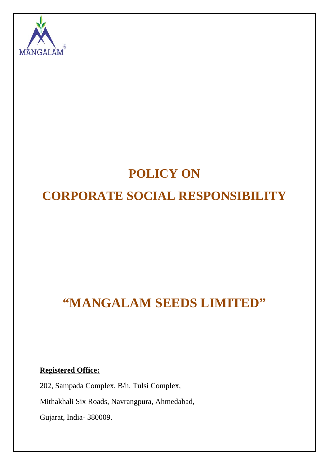

# **POLICY ON CORPORATE SOCIAL RESPONSIBILITY**

# **"MANGALAM SEEDS LIMITED"**

**Registered Office:**

202, Sampada Complex, B/h. Tulsi Complex,

Mithakhali Six Roads, Navrangpura, Ahmedabad,

Gujarat, India- 380009.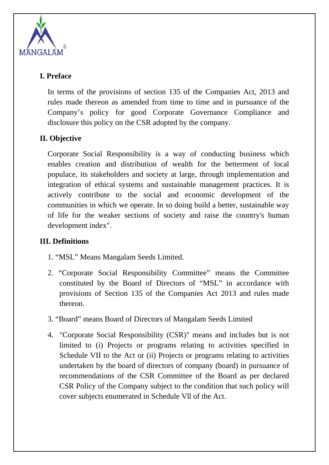

### **I. Preface**

In terms of the provisions of section 135 of the Companies Act, 2013 and rules made thereon as amended from time to time and in pursuance of the Company's policy for good Corporate Governance Compliance and disclosure this policy on the CSR adopted by the company.

# **II. Objective**

Corporate Social Responsibility is a way of conducting business which enables creation and distribution of wealth for the betterment of local populace, its stakeholders and society at large, through implementation and integration of ethical systems and sustainable management practices. It is actively contribute to the social and economic development of the communities in which we operate. In so doing build a better, sustainable way of life for the weaker sections of society and raise the country's human development index".

#### **III. Definitions**

- 1. "MSL" Means Mangalam Seeds Limited.
- 2. "Corporate Social Responsibility Committee" means the Committee constituted by the Board of Directors of "MSL" in accordance with provisions of Section 135 of the Companies Act 2013 and rules made thereon.
- 3. "Board" means Board of Directors of Mangalam Seeds Limited
- 4. "Corporate Social Responsibility (CSR)" means and includes but is not limited to (i) Projects or programs relating to activities specified in Schedule VII to the Act or (ii) Projects or programs relating to activities undertaken by the board of directors of company (board) in pursuance of recommendations of the CSR Committee of the Board as per declared CSR Policy of the Company subject to the condition that such policy will cover subjects enumerated in Schedule Vll of the Act.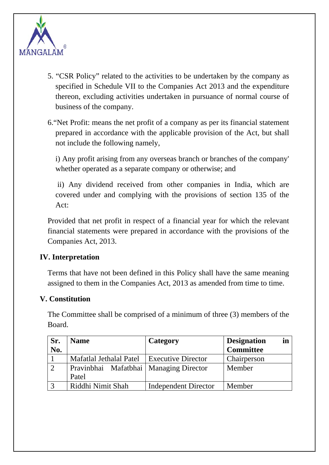

- 5. "CSR Policy" related to the activities to be undertaken by the company as specified in Schedule VII to the Companies Act 2013 and the expenditure thereon, excluding activities undertaken in pursuance of normal course of business of the company.
- 6."Net Profit: means the net profit of a company as per its financial statement prepared in accordance with the applicable provision of the Act, but shall not include the following namely,

i) Any profit arising from any overseas branch or branches of the company' whether operated as a separate company or otherwise; and

 ii) Any dividend received from other companies in India, which are covered under and complying with the provisions of section 135 of the Act:

Provided that net profit in respect of a financial year for which the relevant financial statements were prepared in accordance with the provisions of the Companies Act, 2013.

#### **IV. Interpretation**

Terms that have not been defined in this Policy shall have the same meaning assigned to them in the Companies Act, 2013 as amended from time to time.

#### **V. Constitution**

The Committee shall be comprised of a minimum of three (3) members of the Board.

| Sr. | <b>Name</b>                              | Category                    | in<br><b>Designation</b> |
|-----|------------------------------------------|-----------------------------|--------------------------|
| No. |                                          |                             | <b>Committee</b>         |
|     | Mafatlal Jethalal Patel                  | <b>Executive Director</b>   | Chairperson              |
|     | Pravinbhai Mafatbhai   Managing Director |                             | Member                   |
|     | Patel                                    |                             |                          |
|     | Riddhi Nimit Shah                        | <b>Independent Director</b> | Member                   |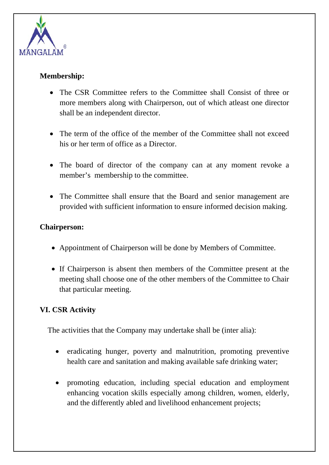

#### **Membership:**

- The CSR Committee refers to the Committee shall Consist of three or more members along with Chairperson, out of which atleast one director shall be an independent director.
- The term of the office of the member of the Committee shall not exceed his or her term of office as a Director.
- The board of director of the company can at any moment revoke a member's membership to the committee.
- The Committee shall ensure that the Board and senior management are provided with sufficient information to ensure informed decision making.

#### **Chairperson:**

- Appointment of Chairperson will be done by Members of Committee.
- If Chairperson is absent then members of the Committee present at the meeting shall choose one of the other members of the Committee to Chair that particular meeting.

# **VI. CSR Activity**

The activities that the Company may undertake shall be (inter alia):

- eradicating hunger, poverty and malnutrition, promoting preventive health care and sanitation and making available safe drinking water;
- promoting education, including special education and employment enhancing vocation skills especially among children, women, elderly, and the differently abled and livelihood enhancement projects;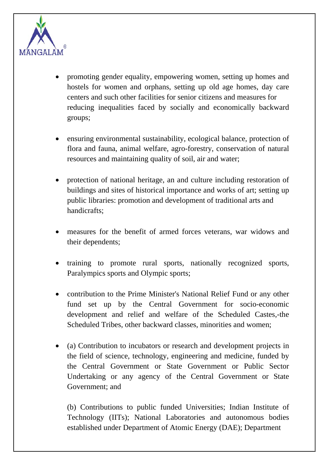

- promoting gender equality, empowering women, setting up homes and hostels for women and orphans, setting up old age homes, day care centers and such other facilities for senior citizens and measures for reducing inequalities faced by socially and economically backward groups;
- ensuring environmental sustainability, ecological balance, protection of flora and fauna, animal welfare, agro-forestry, conservation of natural resources and maintaining quality of soil, air and water;
- protection of national heritage, an and culture including restoration of buildings and sites of historical importance and works of art; setting up public libraries: promotion and development of traditional arts and handicrafts;
- measures for the benefit of armed forces veterans, war widows and their dependents;
- training to promote rural sports, nationally recognized sports, Paralympics sports and Olympic sports;
- contribution to the Prime Minister's National Relief Fund or any other fund set up by the Central Government for socio-economic development and relief and welfare of the Scheduled Castes,-the Scheduled Tribes, other backward classes, minorities and women;
- (a) Contribution to incubators or research and development projects in the field of science, technology, engineering and medicine, funded by the Central Government or State Government or Public Sector Undertaking or any agency of the Central Government or State Government; and

(b) Contributions to public funded Universities; Indian Institute of Technology (IITs); National Laboratories and autonomous bodies established under Department of Atomic Energy (DAE); Department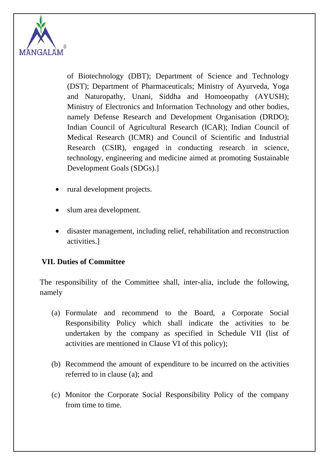

of Biotechnology (DBT); Department of Science and Technology (DST); Department of Pharmaceuticals; Ministry of Ayurveda, Yoga and Naturopathy, Unani, Siddha and Homoeopathy (AYUSH); Ministry of Electronics and Information Technology and other bodies, namely Defense Research and Development Organisation (DRDO); Indian Council of Agricultural Research (ICAR); Indian Council of Medical Research (ICMR) and Council of Scientific and Industrial Research (CSIR), engaged in conducting research in science, technology, engineering and medicine aimed at promoting Sustainable Development Goals (SDGs).]

- rural development projects.
- slum area development.
- disaster management, including relief, rehabilitation and reconstruction activities.]

# **VII. Duties of Committee**

The responsibility of the Committee shall, inter-alia, include the following, namely

- (a) Formulate and recommend to the Board, a Corporate Social Responsibility Policy which shall indicate the activities to be undertaken by the company as specified in Schedule VII (list of activities are mentioned in Clause VI of this policy);
- (b) Recommend the amount of expenditure to be incurred on the activities referred to in clause (a); and
- (c) Monitor the Corporate Social Responsibility Policy of the company from time to time.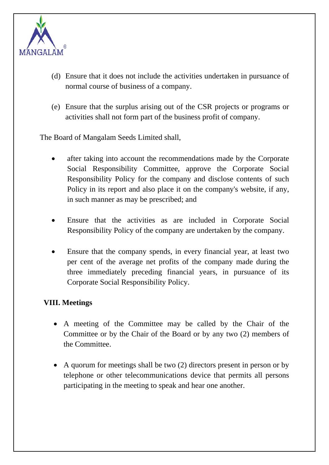

- (d) Ensure that it does not include the activities undertaken in pursuance of normal course of business of a company.
- (e) Ensure that the surplus arising out of the CSR projects or programs or activities shall not form part of the business profit of company.

The Board of Mangalam Seeds Limited shall,

- after taking into account the recommendations made by the Corporate Social Responsibility Committee, approve the Corporate Social Responsibility Policy for the company and disclose contents of such Policy in its report and also place it on the company's website, if any, in such manner as may be prescribed; and
- Ensure that the activities as are included in Corporate Social Responsibility Policy of the company are undertaken by the company.
- Ensure that the company spends, in every financial year, at least two per cent of the average net profits of the company made during the three immediately preceding financial years, in pursuance of its Corporate Social Responsibility Policy.

#### **VIII. Meetings**

- A meeting of the Committee may be called by the Chair of the Committee or by the Chair of the Board or by any two (2) members of the Committee.
- A quorum for meetings shall be two (2) directors present in person or by telephone or other telecommunications device that permits all persons participating in the meeting to speak and hear one another.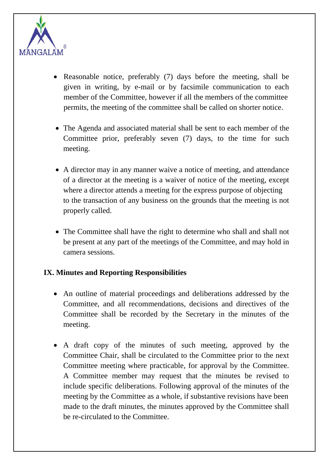

- Reasonable notice, preferably (7) days before the meeting, shall be given in writing, by e-mail or by facsimile communication to each member of the Committee, however if all the members of the committee permits, the meeting of the committee shall be called on shorter notice.
- The Agenda and associated material shall be sent to each member of the Committee prior, preferably seven (7) days, to the time for such meeting.
- A director may in any manner waive a notice of meeting, and attendance of a director at the meeting is a waiver of notice of the meeting, except where a director attends a meeting for the express purpose of objecting to the transaction of any business on the grounds that the meeting is not properly called.
- The Committee shall have the right to determine who shall and shall not be present at any part of the meetings of the Committee, and may hold in camera sessions.

#### **IX. Minutes and Reporting Responsibilities**

- An outline of material proceedings and deliberations addressed by the Committee, and all recommendations, decisions and directives of the Committee shall be recorded by the Secretary in the minutes of the meeting.
- A draft copy of the minutes of such meeting, approved by the Committee Chair, shall be circulated to the Committee prior to the next Committee meeting where practicable, for approval by the Committee. A Committee member may request that the minutes be revised to include specific deliberations. Following approval of the minutes of the meeting by the Committee as a whole, if substantive revisions have been made to the draft minutes, the minutes approved by the Committee shall be re-circulated to the Committee.